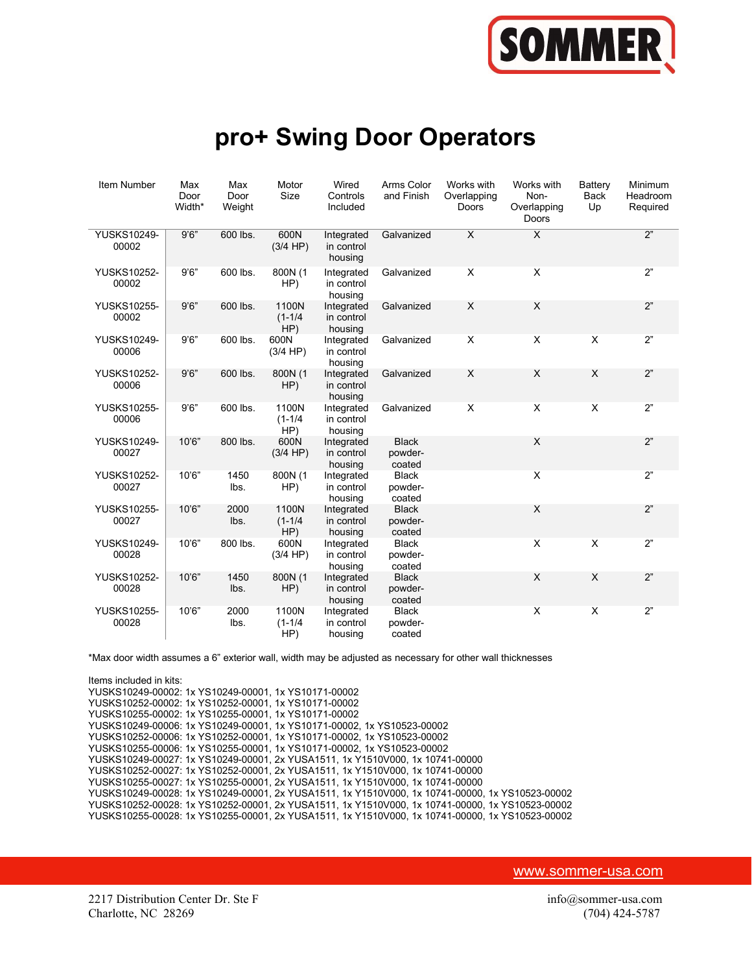

## pro+ Swing Door Operators

| Item Number                 | Max<br>Door<br>Width* | Max<br>Door<br>Weight | Motor<br>Size               | Wired<br>Controls<br>Included       | Arms Color<br>and Finish          | Works with<br>Overlapping<br>Doors | Works with<br>Non-<br>Overlapping<br>Doors | Battery<br>Back<br>Up     | Minimum<br>Headroom<br>Required |
|-----------------------------|-----------------------|-----------------------|-----------------------------|-------------------------------------|-----------------------------------|------------------------------------|--------------------------------------------|---------------------------|---------------------------------|
| YUSKS10249-<br>00002        | 9'6''                 | 600 lbs.              | 600N<br>(3/4 HP)            | Integrated<br>in control<br>housing | Galvanized                        | X                                  | X                                          |                           | 2"                              |
| <b>YUSKS10252-</b><br>00002 | 9'6''                 | 600 lbs.              | 800N (1<br>HP)              | Integrated<br>in control<br>housing | Galvanized                        | X                                  | X                                          |                           | 2"                              |
| <b>YUSKS10255-</b><br>00002 | 9'6''                 | 600 lbs.              | 1100N<br>$(1 - 1/4)$<br>HP) | Integrated<br>in control<br>housing | Galvanized                        | X                                  | X                                          |                           | 2"                              |
| <b>YUSKS10249-</b><br>00006 | 9'6''                 | 600 lbs.              | 600N<br>(3/4 HP)            | Integrated<br>in control<br>housing | Galvanized                        | X                                  | X                                          | X                         | 2"                              |
| <b>YUSKS10252-</b><br>00006 | 9'6''                 | 600 lbs.              | 800N (1<br>HP)              | Integrated<br>in control<br>housing | Galvanized                        | X                                  | X                                          | X                         | 2"                              |
| <b>YUSKS10255-</b><br>00006 | 9'6"                  | 600 lbs.              | 1100N<br>$(1 - 1/4)$<br>HP) | Integrated<br>in control<br>housing | Galvanized                        | $\boldsymbol{\mathsf{X}}$          | $\mathsf X$                                | $\pmb{\times}$            | 2"                              |
| <b>YUSKS10249-</b><br>00027 | 10'6"                 | 800 lbs.              | 600N<br>(3/4 HP)            | Integrated<br>in control<br>housing | <b>Black</b><br>powder-<br>coated |                                    | X                                          |                           | 2"                              |
| <b>YUSKS10252-</b><br>00027 | 10'6"                 | 1450<br>lbs.          | 800N (1<br>HP)              | Integrated<br>in control<br>housing | <b>Black</b><br>powder-<br>coated |                                    | X                                          |                           | 2"                              |
| <b>YUSKS10255-</b><br>00027 | 10'6"                 | 2000<br>lbs.          | 1100N<br>$(1 - 1/4)$<br>HP) | Integrated<br>in control<br>housing | <b>Black</b><br>powder-<br>coated |                                    | $\mathsf X$                                |                           | 2"                              |
| <b>YUSKS10249-</b><br>00028 | 10'6"                 | 800 lbs.              | 600N<br>(3/4 HP)            | Integrated<br>in control<br>housing | <b>Black</b><br>powder-<br>coated |                                    | X                                          | $\mathsf X$               | 2"                              |
| <b>YUSKS10252-</b><br>00028 | 10'6"                 | 1450<br>lbs.          | 800N (1<br>HP)              | Integrated<br>in control<br>housing | <b>Black</b><br>powder-<br>coated |                                    | X                                          | $\boldsymbol{\mathsf{X}}$ | 2"                              |
| <b>YUSKS10255-</b><br>00028 | 10'6"                 | 2000<br>lbs.          | 1100N<br>$(1 - 1/4)$<br>HP) | Integrated<br>in control<br>housing | <b>Black</b><br>powder-<br>coated |                                    | X                                          | $\pmb{\times}$            | 2"                              |

\*Max door width assumes a 6" exterior wall, width may be adjusted as necessary for other wall thicknesses

Items included in kits: YUSKS10249-00002: 1x YS10249-00001, 1x YS10171-00002 YUSKS10252-00002: 1x YS10252-00001, 1x YS10171-00002 YUSKS10255-00002: 1x YS10255-00001, 1x YS10171-00002 YUSKS10249-00006: 1x YS10249-00001, 1x YS10171-00002, 1x YS10523-00002 YUSKS10252-00006: 1x YS10252-00001, 1x YS10171-00002, 1x YS10523-00002 YUSKS10255-00006: 1x YS10255-00001, 1x YS10171-00002, 1x YS10523-00002 YUSKS10249-00027: 1x YS10249-00001, 2x YUSA1511, 1x Y1510V000, 1x 10741-00000 YUSKS10252-00027: 1x YS10252-00001, 2x YUSA1511, 1x Y1510V000, 1x 10741-00000 YUSKS10255-00027: 1x YS10255-00001, 2x YUSA1511, 1x Y1510V000, 1x 10741-00000 YUSKS10249-00028: 1x YS10249-00001, 2x YUSA1511, 1x Y1510V000, 1x 10741-00000, 1x YS10523-00002 YUSKS10252-00028: 1x YS10252-00001, 2x YUSA1511, 1x Y1510V000, 1x 10741-00000, 1x YS10523-00002 YUSKS10255-00028: 1x YS10255-00001, 2x YUSA1511, 1x Y1510V000, 1x 10741-00000, 1x YS10523-00002

www.sommer-usa.com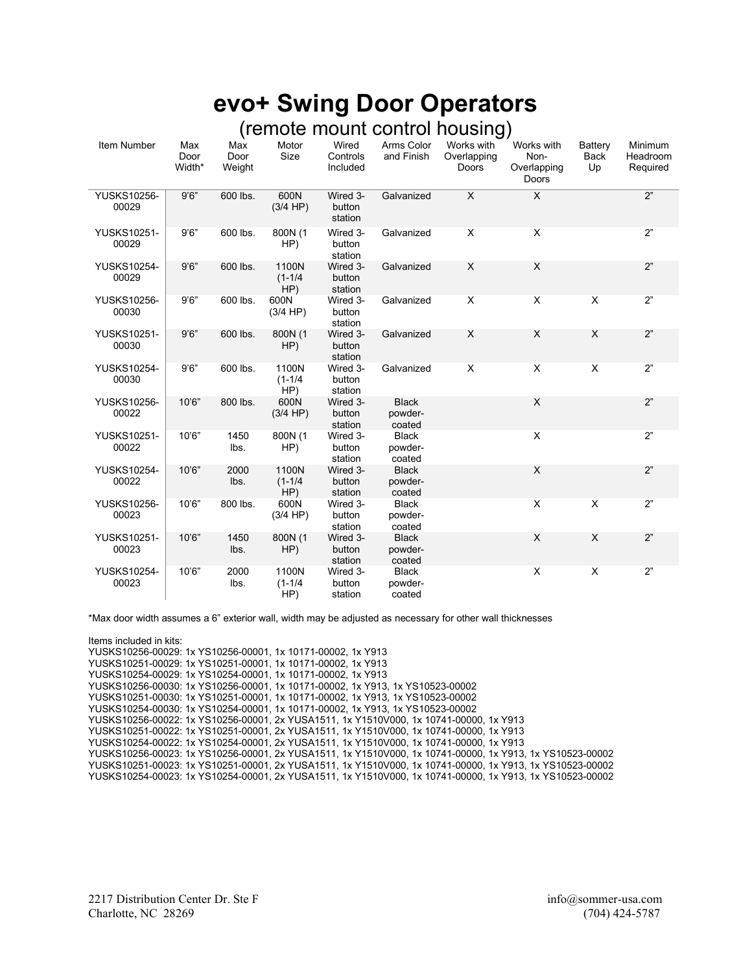## evo+ Swing Door Operators (remote mount control housing)

| Item Number                 | Max            | Max            | Motor                       | Wired                         | Arms Color                        | (IGITIOLE THUUTTL CUITLIUI TIUUSIITY)<br>Works with | Works with                   | Battery                   | Minimum              |
|-----------------------------|----------------|----------------|-----------------------------|-------------------------------|-----------------------------------|-----------------------------------------------------|------------------------------|---------------------------|----------------------|
|                             | Door<br>Width* | Door<br>Weight | Size                        | Controls<br>Included          | and Finish                        | Overlapping<br>Doors                                | Non-<br>Overlapping<br>Doors | Back<br>Up                | Headroom<br>Required |
| YUSKS10256-<br>00029        | 9'6''          | 600 lbs.       | 600N<br>(3/4 HP)            | Wired 3-<br>button<br>station | Galvanized                        | $\overline{X}$                                      | $\overline{X}$               |                           | 2"                   |
| <b>YUSKS10251-</b><br>00029 | 9'6''          | 600 lbs.       | 800N (1<br>HP)              | Wired 3-<br>button<br>station | Galvanized                        | X                                                   | X                            |                           | 2"                   |
| <b>YUSKS10254-</b><br>00029 | 9'6''          | 600 lbs.       | 1100N<br>$(1 - 1/4)$<br>HP) | Wired 3-<br>button<br>station | Galvanized                        | X                                                   | $\boldsymbol{\mathsf{X}}$    |                           | 2"                   |
| <b>YUSKS10256-</b><br>00030 | 9'6''          | 600 lbs.       | 600N<br>(3/4 HP)            | Wired 3-<br>button<br>station | Galvanized                        | X                                                   | X                            | X                         | 2"                   |
| YUSKS10251-<br>00030        | 9'6''          | 600 lbs.       | 800N (1<br>HP)              | Wired 3-<br>button<br>station | Galvanized                        | X                                                   | X                            | $\boldsymbol{\mathsf{X}}$ | 2"                   |
| <b>YUSKS10254-</b><br>00030 | 9'6''          | 600 lbs.       | 1100N<br>$(1 - 1/4)$<br>HP) | Wired 3-<br>button<br>station | Galvanized                        | X                                                   | $\mathsf X$                  | X                         | 2"                   |
| <b>YUSKS10256-</b><br>00022 | 10'6"          | 800 lbs.       | 600N<br>(3/4 HP)            | Wired 3-<br>button<br>station | <b>Black</b><br>powder-<br>coated |                                                     | X                            |                           | 2"                   |
| YUSKS10251-<br>00022        | 10'6"          | 1450<br>lbs.   | 800N (1<br>HP)              | Wired 3-<br>button<br>station | <b>Black</b><br>powder-<br>coated |                                                     | X                            |                           | 2"                   |
| <b>YUSKS10254-</b><br>00022 | 10'6"          | 2000<br>lbs.   | 1100N<br>$(1 - 1/4)$<br>HP) | Wired 3-<br>button<br>station | <b>Black</b><br>powder-<br>coated |                                                     | X                            |                           | 2"                   |
| <b>YUSKS10256-</b><br>00023 | 10'6"          | 800 lbs.       | 600N<br>(3/4 HP)            | Wired 3-<br>button<br>station | <b>Black</b><br>powder-<br>coated |                                                     | X                            | X                         | 2"                   |
| <b>YUSKS10251-</b><br>00023 | 10'6"          | 1450<br>lbs.   | 800N (1<br>HP)              | Wired 3-<br>button<br>station | <b>Black</b><br>powder-<br>coated |                                                     | X                            | X                         | 2"                   |
| <b>YUSKS10254-</b><br>00023 | 10'6"          | 2000<br>lbs.   | 1100N<br>$(1 - 1/4)$<br>HP) | Wired 3-<br>button<br>station | <b>Black</b><br>powder-<br>coated |                                                     | X                            | X                         | 2"                   |

\*Max door width assumes a 6" exterior wall, width may be adjusted as necessary for other wall thicknesses

Items included in kits: YUSKS10256-00029: 1x YS10256-00001, 1x 10171-00002, 1x Y913 YUSKS10251-00029: 1x YS10251-00001, 1x 10171-00002, 1x Y913 YUSKS10254-00029: 1x YS10254-00001, 1x 10171-00002, 1x Y913 YUSKS10256-00030: 1x YS10256-00001, 1x 10171-00002, 1x Y913, 1x YS10523-00002 YUSKS10251-00030: 1x YS10251-00001, 1x 10171-00002, 1x Y913, 1x YS10523-00002 YUSKS10254-00030: 1x YS10254-00001, 1x 10171-00002, 1x Y913, 1x YS10523-00002 YUSKS10256-00022: 1x YS10256-00001, 2x YUSA1511, 1x Y1510V000, 1x 10741-00000, 1x Y913 YUSKS10251-00022: 1x YS10251-00001, 2x YUSA1511, 1x Y1510V000, 1x 10741-00000, 1x Y913 YUSKS10254-00022: 1x YS10254-00001, 2x YUSA1511, 1x Y1510V000, 1x 10741-00000, 1x Y913 YUSKS10256-00023: 1x YS10256-00001, 2x YUSA1511, 1x Y1510V000, 1x 10741-00000, 1x Y913, 1x YS10523-00002 YUSKS10251-00023: 1x YS10251-00001, 2x YUSA1511, 1x Y1510V000, 1x 10741-00000, 1x Y913, 1x YS10523-00002 YUSKS10254-00023: 1x YS10254-00001, 2x YUSA1511, 1x Y1510V000, 1x 10741-00000, 1x Y913, 1x YS10523-00002